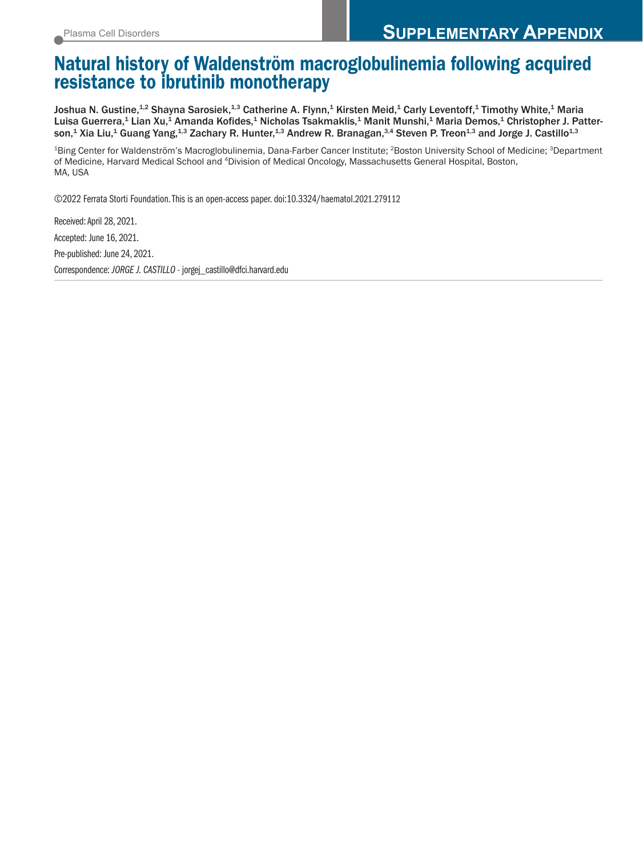## Natural history of Waldenström macroglobulinemia following acquired resistance to ibrutinib monotherapy

Joshua N. Gustine,<sup>1,2</sup> Shayna Sarosiek,<sup>1,3</sup> Catherine A. Flynn,<sup>1</sup> Kirsten Meid,<sup>1</sup> Carly Leventoff,<sup>1</sup> Timothy White,<sup>1</sup> Maria Luisa Guerrera,<sup>1</sup> Lian Xu,<sup>1</sup> Amanda Kofides,<sup>1</sup> Nicholas Tsakmaklis,<sup>1</sup> Manit Munshi,<sup>1</sup> Maria Demos,<sup>1</sup> Christopher J. Patterson,<sup>1</sup> Xia Liu,<sup>1</sup> Guang Yang,<sup>1,3</sup> Zachary R. Hunter,<sup>1,3</sup> Andrew R. Branagan,<sup>3,4</sup> Steven P. Treon<sup>1,3</sup> and Jorge J. Castillo<sup>1,3</sup>

<sup>1</sup>Bing Center for Waldenström's Macroglobulinemia, Dana-Farber Cancer Institute; <sup>2</sup>Boston University School of Medicine; <sup>3</sup>Department of Medicine, Harvard Medical School and 4Division of Medical Oncology, Massachusetts General Hospital, Boston, MA, USA

©2022 Ferrata Storti Foundation. This is an open-access paper. doi:10.3324/haematol.2021.279112

Received: April 28, 2021. Accepted: June 16, 2021. Pre-published: June 24, 2021. Correspondence: *JORGE J. CASTILLO* - jorgej\_castillo@dfci.harvard.edu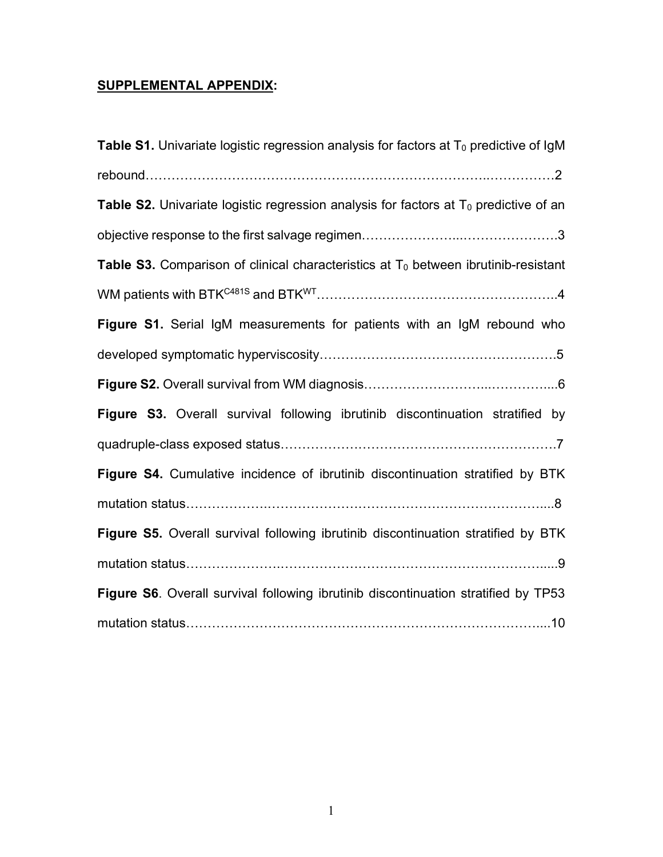## **SUPPLEMENTAL APPENDIX:**

| <b>Table S1.</b> Univariate logistic regression analysis for factors at $T_0$ predictive of IgM |
|-------------------------------------------------------------------------------------------------|
|                                                                                                 |
| <b>Table S2.</b> Univariate logistic regression analysis for factors at $T_0$ predictive of an  |
|                                                                                                 |
| Table S3. Comparison of clinical characteristics at $T_0$ between ibrutinib-resistant           |
|                                                                                                 |
| Figure S1. Serial IgM measurements for patients with an IgM rebound who                         |
|                                                                                                 |
|                                                                                                 |
| Figure S3. Overall survival following ibrutinib discontinuation stratified by                   |
|                                                                                                 |
| Figure S4. Cumulative incidence of ibrutinib discontinuation stratified by BTK                  |
|                                                                                                 |
| Figure S5. Overall survival following ibrutinib discontinuation stratified by BTK               |
|                                                                                                 |
| Figure S6. Overall survival following ibrutinib discontinuation stratified by TP53              |
|                                                                                                 |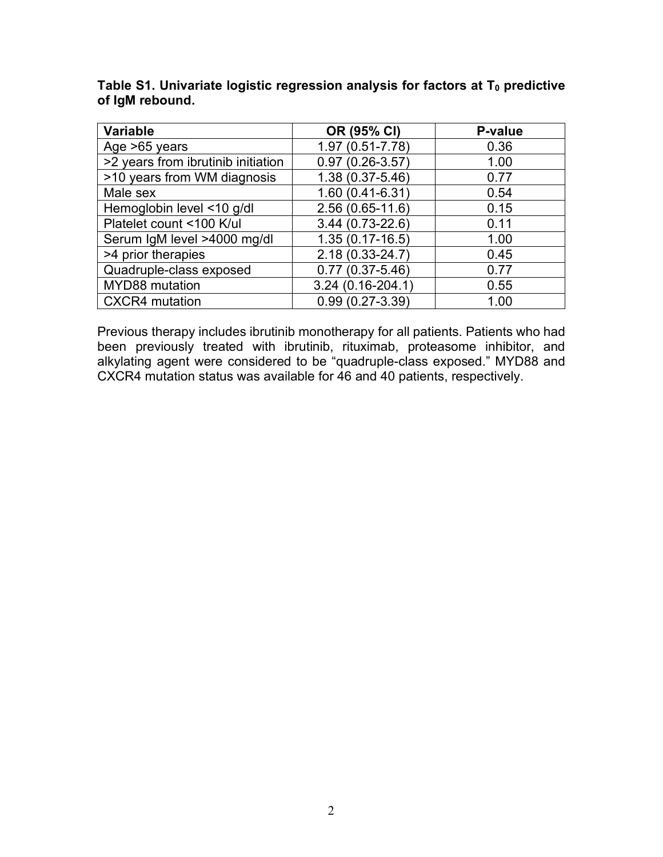| <b>Variable</b>                    | OR (95% CI)         | P-value |
|------------------------------------|---------------------|---------|
| Age >65 years                      | 1.97 (0.51-7.78)    | 0.36    |
| >2 years from ibrutinib initiation | $0.97(0.26 - 3.57)$ | 1.00    |
| >10 years from WM diagnosis        | 1.38 (0.37-5.46)    | 0.77    |
| Male sex                           | 1.60 (0.41-6.31)    | 0.54    |
| Hemoglobin level <10 g/dl          | 2.56 (0.65-11.6)    | 0.15    |
| Platelet count <100 K/ul           | 3.44 (0.73-22.6)    | 0.11    |
| Serum IgM level >4000 mg/dl        | $1.35(0.17-16.5)$   | 1.00    |
| >4 prior therapies                 | 2.18 (0.33-24.7)    | 0.45    |
| Quadruple-class exposed            | $0.77(0.37 - 5.46)$ | 0.77    |
| MYD88 mutation                     | 3.24 (0.16-204.1)   | 0.55    |
| <b>CXCR4</b> mutation              | $0.99(0.27 - 3.39)$ | 1.00    |

Table S1. Univariate logistic regression analysis for factors at T<sub>0</sub> predictive **of IgM rebound.**

Previous therapy includes ibrutinib monotherapy for all patients. Patients who had been previously treated with ibrutinib, rituximab, proteasome inhibitor, and alkylating agent were considered to be "quadruple-class exposed." MYD88 and CXCR4 mutation status was available for 46 and 40 patients, respectively.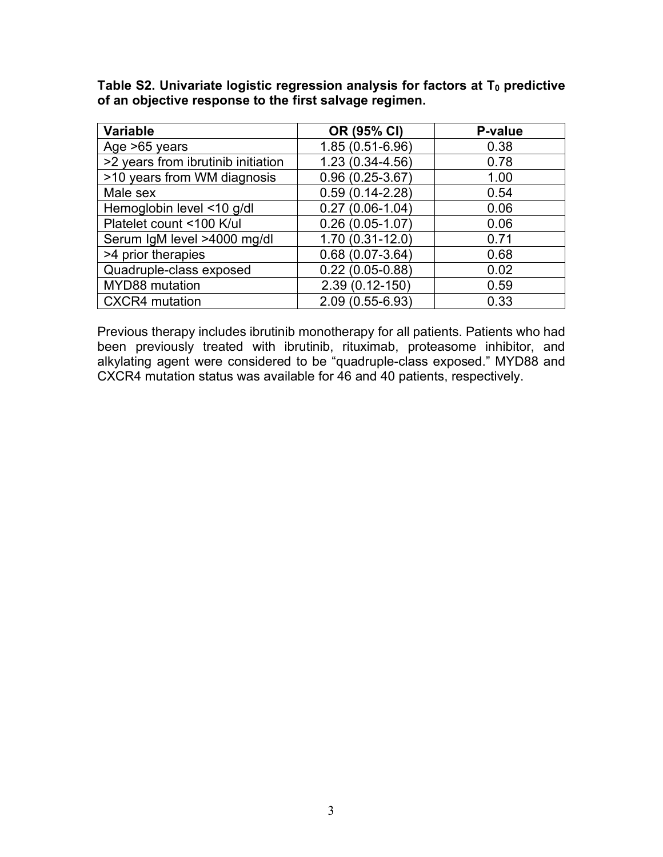Table S2. Univariate logistic regression analysis for factors at T<sub>0</sub> predictive **of an objective response to the first salvage regimen.**

| <b>Variable</b>                    | OR (95% CI)         | <b>P-value</b> |
|------------------------------------|---------------------|----------------|
| Age >65 years                      | 1.85 (0.51-6.96)    | 0.38           |
| >2 years from ibrutinib initiation | 1.23 (0.34-4.56)    | 0.78           |
| >10 years from WM diagnosis        | $0.96(0.25-3.67)$   | 1.00           |
| Male sex                           | $0.59(0.14 - 2.28)$ | 0.54           |
| Hemoglobin level <10 g/dl          | $0.27(0.06-1.04)$   | 0.06           |
| Platelet count <100 K/ul           | $0.26(0.05-1.07)$   | 0.06           |
| Serum IgM level >4000 mg/dl        | 1.70 (0.31-12.0)    | 0.71           |
| >4 prior therapies                 | $0.68(0.07-3.64)$   | 0.68           |
| Quadruple-class exposed            | $0.22(0.05-0.88)$   | 0.02           |
| MYD88 mutation                     | 2.39 (0.12-150)     | 0.59           |
| <b>CXCR4</b> mutation              | 2.09 (0.55-6.93)    | 0.33           |

Previous therapy includes ibrutinib monotherapy for all patients. Patients who had been previously treated with ibrutinib, rituximab, proteasome inhibitor, and alkylating agent were considered to be "quadruple-class exposed." MYD88 and CXCR4 mutation status was available for 46 and 40 patients, respectively.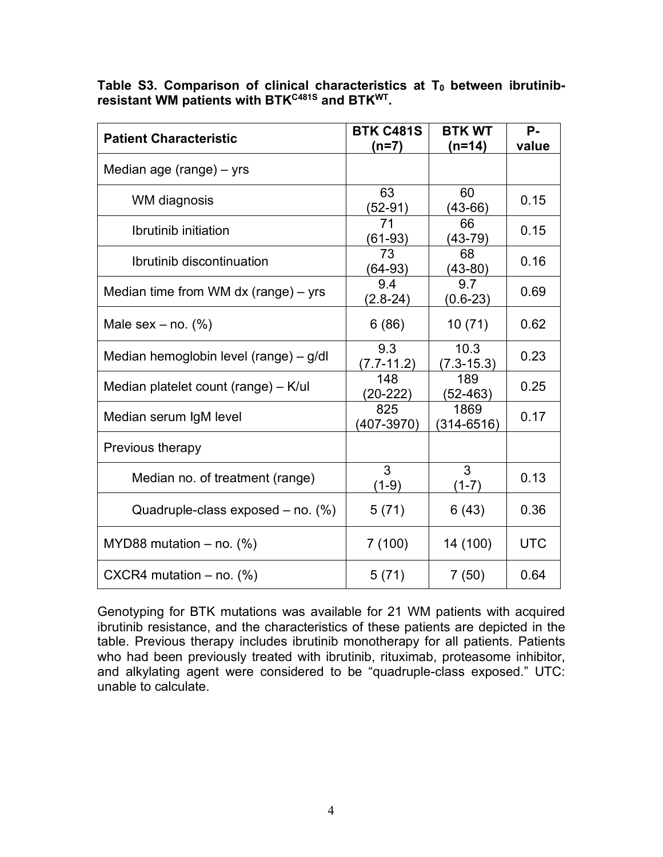Table S3. Comparison of clinical characteristics at T<sub>0</sub> between ibrutinib**resistant WM patients with BTKC481S and BTKWT.**

| <b>Patient Characteristic</b>          | <b>BTK C481S</b>      | <b>BTK WT</b>          | Р.         |
|----------------------------------------|-----------------------|------------------------|------------|
|                                        | (n=7)                 | $(n=14)$               | value      |
| Median age (range) – yrs               |                       |                        |            |
| WM diagnosis                           | 63<br>$(52-91)$       | 60<br>$(43-66)$        | 0.15       |
| Ibrutinib initiation                   | 71<br>$(61-93)$       | 66<br>(43-79)          | 0.15       |
| Ibrutinib discontinuation              | 73<br>$(64-93)$       | 68<br>(43-80)          | 0.16       |
| Median time from WM $dx$ (range) – yrs | 9.4<br>$(2.8-24)$     | 9.7<br>$(0.6-23)$      | 0.69       |
| Male sex $-$ no. $(\%)$                | 6(86)                 | 10(71)                 | 0.62       |
| Median hemoglobin level (range) - g/dl | 9.3<br>$(7.7-11.2)$   | 10.3<br>$(7.3 - 15.3)$ | 0.23       |
| Median platelet count (range) – K/ul   | 148<br>$(20-222)$     | 189<br>$(52 - 463)$    | 0.25       |
| Median serum IgM level                 | 825<br>$(407 - 3970)$ | 1869<br>$(314 - 6516)$ | 0.17       |
| Previous therapy                       |                       |                        |            |
| Median no. of treatment (range)        | 3<br>$(1-9)$          | 3<br>$(1-7)$           | 0.13       |
| Quadruple-class exposed $-$ no. $(\%)$ | 5(71)                 | 6(43)                  | 0.36       |
| MYD88 mutation $-$ no. (%)             | 7(100)                | 14 (100)               | <b>UTC</b> |
| CXCR4 mutation $-$ no. (%)             | 5(71)                 | 7(50)                  | 0.64       |

Genotyping for BTK mutations was available for 21 WM patients with acquired ibrutinib resistance, and the characteristics of these patients are depicted in the table. Previous therapy includes ibrutinib monotherapy for all patients. Patients who had been previously treated with ibrutinib, rituximab, proteasome inhibitor, and alkylating agent were considered to be "quadruple-class exposed." UTC: unable to calculate.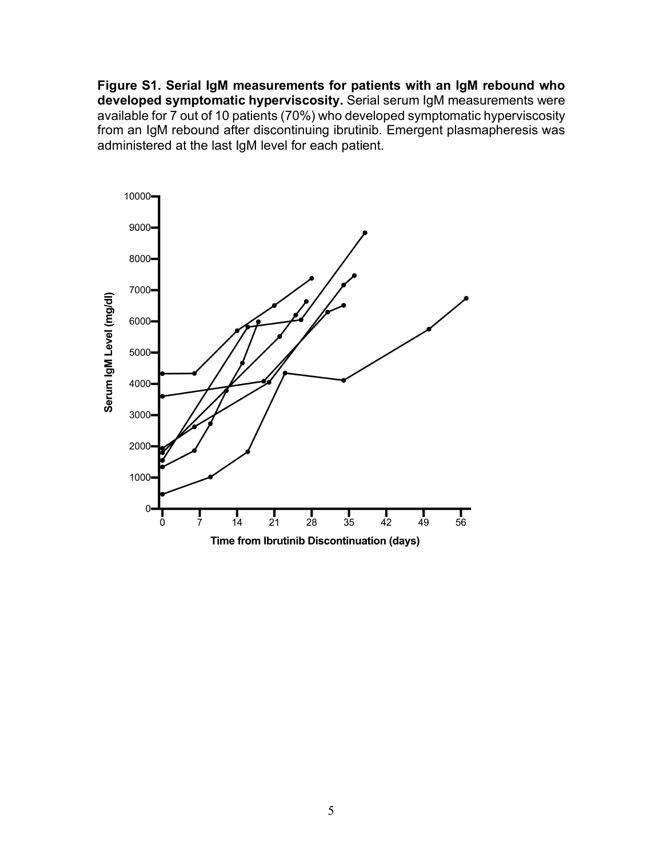**Figure S1. Serial IgM measurements for patients with an IgM rebound who developed symptomatic hyperviscosity.** Serial serum IgM measurements were available for 7 out of 10 patients (70%) who developed symptomatic hyperviscosity from an IgM rebound after discontinuing ibrutinib. Emergent plasmapheresis was administered at the last IgM level for each patient.

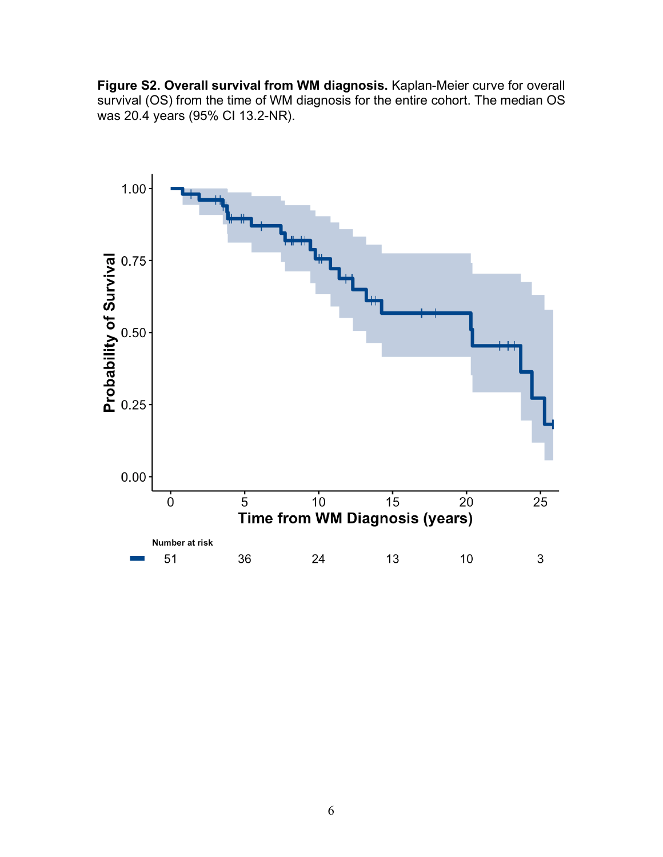**Figure S2. Overall survival from WM diagnosis.** Kaplan-Meier curve for overall survival (OS) from the time of WM diagnosis for the entire cohort. The median OS was 20.4 years (95% CI 13.2-NR).

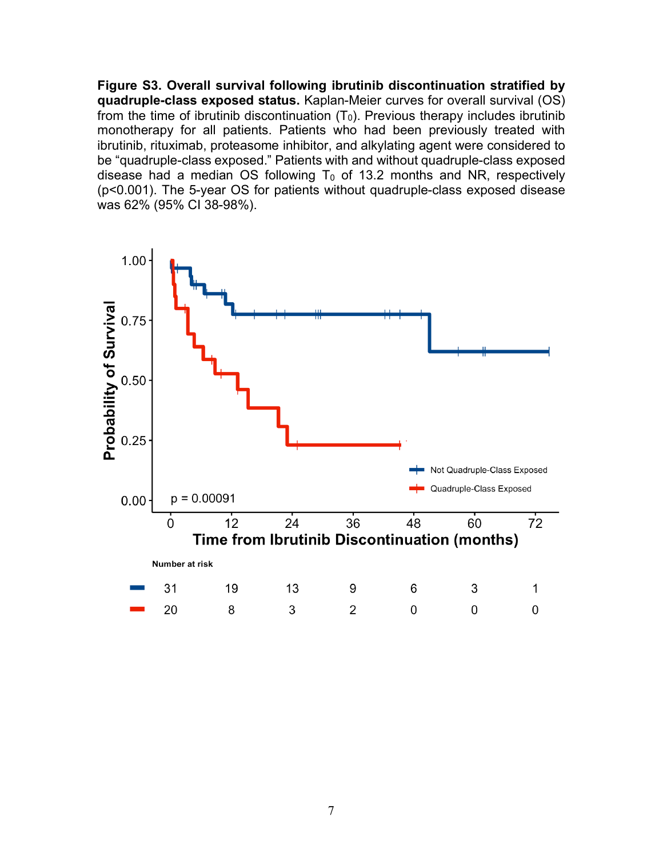**Figure S3. Overall survival following ibrutinib discontinuation stratified by quadruple-class exposed status.** Kaplan-Meier curves for overall survival (OS) from the time of ibrutinib discontinuation  $(T_0)$ . Previous therapy includes ibrutinib monotherapy for all patients. Patients who had been previously treated with ibrutinib, rituximab, proteasome inhibitor, and alkylating agent were considered to be "quadruple-class exposed." Patients with and without quadruple-class exposed disease had a median OS following  $T_0$  of 13.2 months and NR, respectively (p<0.001). The 5-year OS for patients without quadruple-class exposed disease was 62% (95% CI 38-98%).

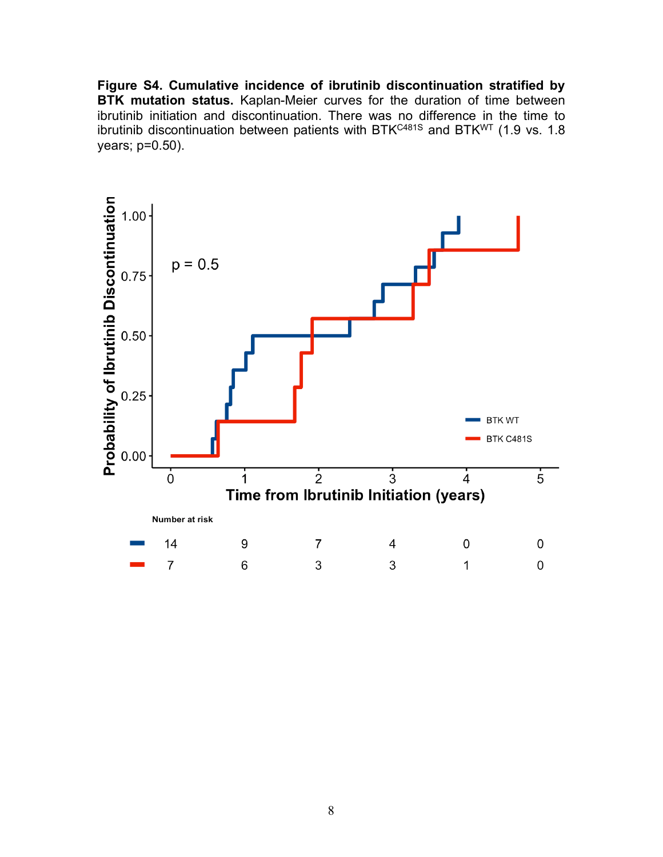**Figure S4. Cumulative incidence of ibrutinib discontinuation stratified by BTK mutation status.** Kaplan-Meier curves for the duration of time between ibrutinib initiation and discontinuation. There was no difference in the time to ibrutinib discontinuation between patients with BTK<sup>C481S</sup> and BTK<sup>WT</sup> (1.9 vs. 1.8 years; p=0.50).

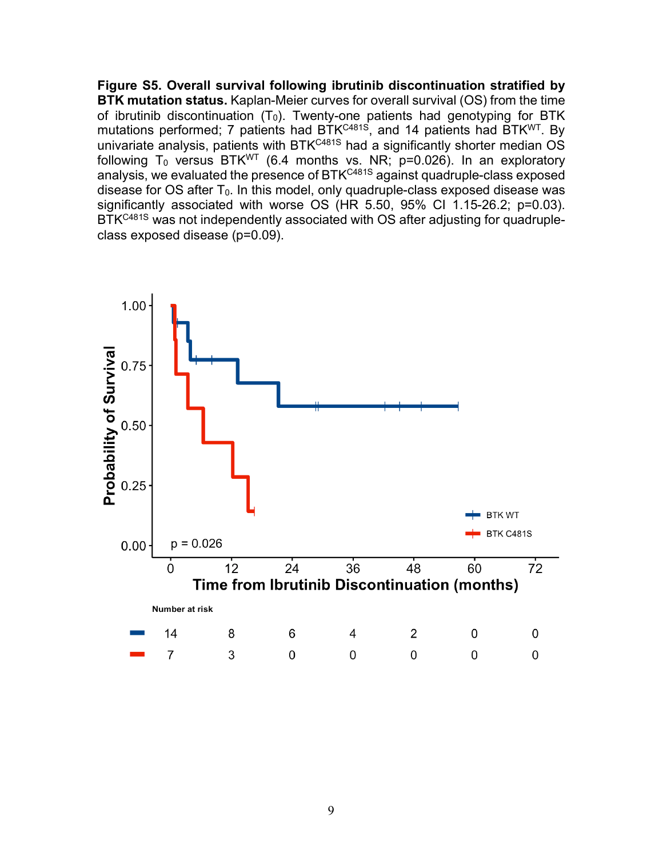**Figure S5. Overall survival following ibrutinib discontinuation stratified by BTK mutation status.** Kaplan-Meier curves for overall survival (OS) from the time of ibrutinib discontinuation  $(T_0)$ . Twenty-one patients had genotyping for BTK mutations performed; 7 patients had BTK<sup>C481S</sup>, and 14 patients had BTK<sup>WT</sup>. By univariate analysis, patients with BTK<sup>C481S</sup> had a significantly shorter median OS following T<sub>0</sub> versus BTK<sup>WT</sup> (6.4 months vs. NR; p=0.026). In an exploratory analysis, we evaluated the presence of BTK<sup>C481S</sup> against quadruple-class exposed disease for  $OS$  after  $T_0$ . In this model, only quadruple-class exposed disease was significantly associated with worse OS (HR 5.50, 95% CI 1.15-26.2; p=0.03). BTK<sup>C481S</sup> was not independently associated with OS after adjusting for quadrupleclass exposed disease (p=0.09).